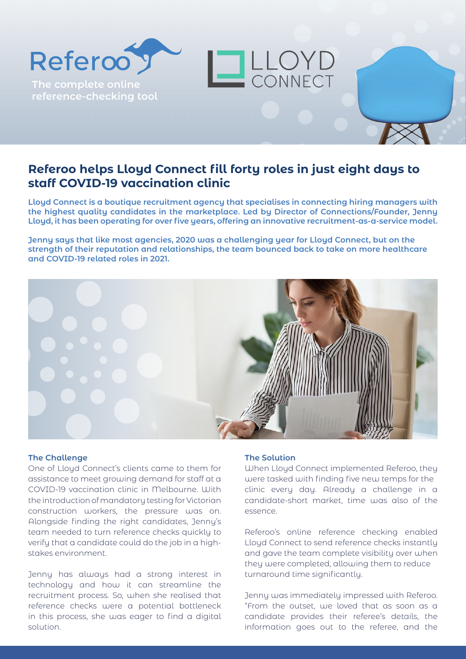## **Referoo helps Lloyd Connect fill forty roles in just eight days to staff COVID-19 vaccination clinic**

**Lloyd Connect is a boutique recruitment agency that specialises in connecting hiring managers with the highest quality candidates in the marketplace. Led by Director of Connections/Founder, Jenny Lloyd, it has been operating for over five years, offering an innovative recruitment-as-a-service model.**

LLOYD

**Jenny says that like most agencies, 2020 was a challenging year for Lloyd Connect, but on the strength of their reputation and relationships, the team bounced back to take on more healthcare and COVID-19 related roles in 2021.**



## **The Challenge**

**The complete online reference-checking tool**

Referoo<sup>9</sup>

One of Lloyd Connect's clients came to them for assistance to meet growing demand for staff at a COVID-19 vaccination clinic in Melbourne. With the introduction of mandatory testing for Victorian construction workers, the pressure was on. Alongside finding the right candidates, Jenny's team needed to turn reference checks quickly to verify that a candidate could do the job in a highstakes environment.

Jenny has always had a strong interest in technology and how it can streamline the recruitment process. So, when she realised that reference checks were a potential bottleneck in this process, she was eager to find a digital solution.

## **The Solution**

When Lloyd Connect implemented Referoo, they were tasked with finding five new temps for the clinic every day. Already a challenge in a candidate-short market, time was also of the essence.

Referoo's online reference checking enabled Lloyd Connect to send reference checks instantly and gave the team complete visibility over when they were completed, allowing them to reduce turnaround time significantly.

Jenny was immediately impressed with Referoo. "From the outset, we loved that as soon as a candidate provides their referee's details, the information goes out to the referee, and the